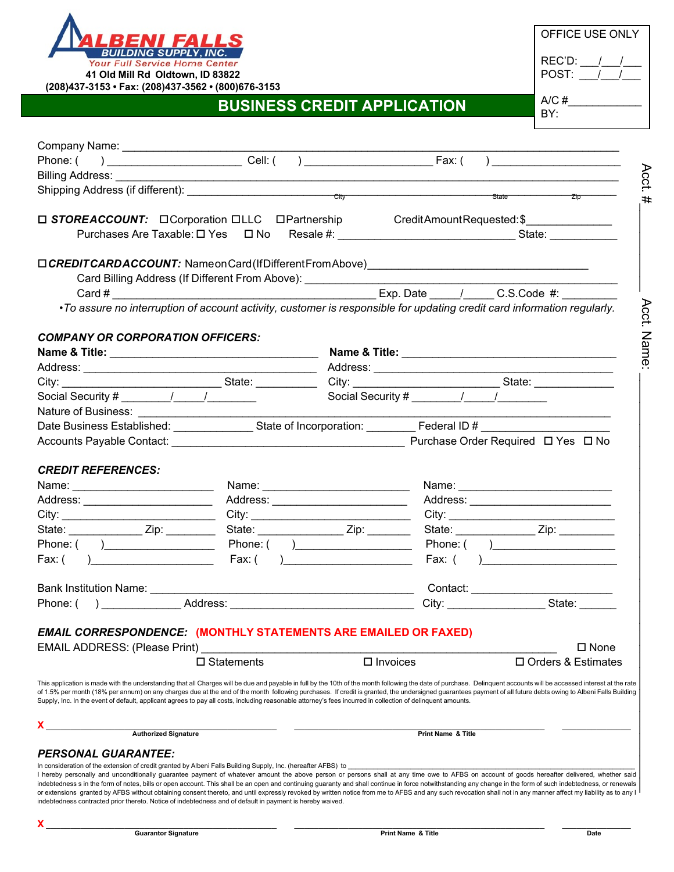

| OFFICE USE ONLY |  |  |
|-----------------|--|--|
| REC'D:<br>POST: |  |  |
| A/C $#$<br>BY:  |  |  |

## **BUSINESS CREDIT APPLICATION**

| Acct.<br>#<br>□ STOREACCOUNT: □ Corporation □ LLC □ Partnership Credit Amount Requested: \$<br>Card Billing Address (If Different From Above): ________________________________<br>•To assure no interruption of account activity, customer is responsible for updating credit card information regularly.<br><b>COMPANY OR CORPORATION OFFICERS:</b><br>City: ___________________________________State: ________________City: ___________________________________State: ______________________<br>Social Security # ________/ _____/ __________<br>Social Security # $\frac{1}{\sqrt{1-\frac{1}{2}}}\frac{1}{\sqrt{1-\frac{1}{2}}}\frac{1}{\sqrt{1-\frac{1}{2}}}\frac{1}{\sqrt{1-\frac{1}{2}}}\frac{1}{\sqrt{1-\frac{1}{2}}}\frac{1}{\sqrt{1-\frac{1}{2}}}\frac{1}{\sqrt{1-\frac{1}{2}}}\frac{1}{\sqrt{1-\frac{1}{2}}}\frac{1}{\sqrt{1-\frac{1}{2}}}\frac{1}{\sqrt{1-\frac{1}{2}}}\frac{1}{\sqrt{1-\frac{1}{2}}}\frac{1}{\sqrt{1-\frac{1}{2}}}\frac{1}{\sqrt{1-\$<br>Date Business Established: State of Incorporation: Federal ID #<br>Accounts Payable Contact: No. 2016. [2016] Purchase Order Required $\Box$ Yes $\Box$ No.<br><b>CREDIT REFERENCES:</b><br>Address: __________________________<br>City: __________________________________City: __________________________________<br>State: _______________________ Zip: ____________<br>State: _______________________ Zip: __________<br>Phone: $( )$ Phone: $( )$<br>Phone: ( )<br>Fax: ( ) Fax: $\left( \begin{array}{c} 1 \end{array} \right)$<br>Fax: $($ and $)$<br>Bank Institution Name: ____________<br>City: __________________________State: _________ |
|----------------------------------------------------------------------------------------------------------------------------------------------------------------------------------------------------------------------------------------------------------------------------------------------------------------------------------------------------------------------------------------------------------------------------------------------------------------------------------------------------------------------------------------------------------------------------------------------------------------------------------------------------------------------------------------------------------------------------------------------------------------------------------------------------------------------------------------------------------------------------------------------------------------------------------------------------------------------------------------------------------------------------------------------------------------------------------------------------------------------------------------------------------------------------------------------------------------------------------------------------------------------------------------------------------------------------------------------------------------------------------------------------------------------------------------------------------------------------------------------------------------------------------------------------------------------------------------------------------------------------|
|                                                                                                                                                                                                                                                                                                                                                                                                                                                                                                                                                                                                                                                                                                                                                                                                                                                                                                                                                                                                                                                                                                                                                                                                                                                                                                                                                                                                                                                                                                                                                                                                                            |
|                                                                                                                                                                                                                                                                                                                                                                                                                                                                                                                                                                                                                                                                                                                                                                                                                                                                                                                                                                                                                                                                                                                                                                                                                                                                                                                                                                                                                                                                                                                                                                                                                            |
|                                                                                                                                                                                                                                                                                                                                                                                                                                                                                                                                                                                                                                                                                                                                                                                                                                                                                                                                                                                                                                                                                                                                                                                                                                                                                                                                                                                                                                                                                                                                                                                                                            |
| Acct.<br>Name                                                                                                                                                                                                                                                                                                                                                                                                                                                                                                                                                                                                                                                                                                                                                                                                                                                                                                                                                                                                                                                                                                                                                                                                                                                                                                                                                                                                                                                                                                                                                                                                              |
|                                                                                                                                                                                                                                                                                                                                                                                                                                                                                                                                                                                                                                                                                                                                                                                                                                                                                                                                                                                                                                                                                                                                                                                                                                                                                                                                                                                                                                                                                                                                                                                                                            |
|                                                                                                                                                                                                                                                                                                                                                                                                                                                                                                                                                                                                                                                                                                                                                                                                                                                                                                                                                                                                                                                                                                                                                                                                                                                                                                                                                                                                                                                                                                                                                                                                                            |
|                                                                                                                                                                                                                                                                                                                                                                                                                                                                                                                                                                                                                                                                                                                                                                                                                                                                                                                                                                                                                                                                                                                                                                                                                                                                                                                                                                                                                                                                                                                                                                                                                            |
|                                                                                                                                                                                                                                                                                                                                                                                                                                                                                                                                                                                                                                                                                                                                                                                                                                                                                                                                                                                                                                                                                                                                                                                                                                                                                                                                                                                                                                                                                                                                                                                                                            |
|                                                                                                                                                                                                                                                                                                                                                                                                                                                                                                                                                                                                                                                                                                                                                                                                                                                                                                                                                                                                                                                                                                                                                                                                                                                                                                                                                                                                                                                                                                                                                                                                                            |
|                                                                                                                                                                                                                                                                                                                                                                                                                                                                                                                                                                                                                                                                                                                                                                                                                                                                                                                                                                                                                                                                                                                                                                                                                                                                                                                                                                                                                                                                                                                                                                                                                            |
|                                                                                                                                                                                                                                                                                                                                                                                                                                                                                                                                                                                                                                                                                                                                                                                                                                                                                                                                                                                                                                                                                                                                                                                                                                                                                                                                                                                                                                                                                                                                                                                                                            |
|                                                                                                                                                                                                                                                                                                                                                                                                                                                                                                                                                                                                                                                                                                                                                                                                                                                                                                                                                                                                                                                                                                                                                                                                                                                                                                                                                                                                                                                                                                                                                                                                                            |
|                                                                                                                                                                                                                                                                                                                                                                                                                                                                                                                                                                                                                                                                                                                                                                                                                                                                                                                                                                                                                                                                                                                                                                                                                                                                                                                                                                                                                                                                                                                                                                                                                            |
|                                                                                                                                                                                                                                                                                                                                                                                                                                                                                                                                                                                                                                                                                                                                                                                                                                                                                                                                                                                                                                                                                                                                                                                                                                                                                                                                                                                                                                                                                                                                                                                                                            |
|                                                                                                                                                                                                                                                                                                                                                                                                                                                                                                                                                                                                                                                                                                                                                                                                                                                                                                                                                                                                                                                                                                                                                                                                                                                                                                                                                                                                                                                                                                                                                                                                                            |
|                                                                                                                                                                                                                                                                                                                                                                                                                                                                                                                                                                                                                                                                                                                                                                                                                                                                                                                                                                                                                                                                                                                                                                                                                                                                                                                                                                                                                                                                                                                                                                                                                            |
|                                                                                                                                                                                                                                                                                                                                                                                                                                                                                                                                                                                                                                                                                                                                                                                                                                                                                                                                                                                                                                                                                                                                                                                                                                                                                                                                                                                                                                                                                                                                                                                                                            |
|                                                                                                                                                                                                                                                                                                                                                                                                                                                                                                                                                                                                                                                                                                                                                                                                                                                                                                                                                                                                                                                                                                                                                                                                                                                                                                                                                                                                                                                                                                                                                                                                                            |
|                                                                                                                                                                                                                                                                                                                                                                                                                                                                                                                                                                                                                                                                                                                                                                                                                                                                                                                                                                                                                                                                                                                                                                                                                                                                                                                                                                                                                                                                                                                                                                                                                            |
|                                                                                                                                                                                                                                                                                                                                                                                                                                                                                                                                                                                                                                                                                                                                                                                                                                                                                                                                                                                                                                                                                                                                                                                                                                                                                                                                                                                                                                                                                                                                                                                                                            |
|                                                                                                                                                                                                                                                                                                                                                                                                                                                                                                                                                                                                                                                                                                                                                                                                                                                                                                                                                                                                                                                                                                                                                                                                                                                                                                                                                                                                                                                                                                                                                                                                                            |
|                                                                                                                                                                                                                                                                                                                                                                                                                                                                                                                                                                                                                                                                                                                                                                                                                                                                                                                                                                                                                                                                                                                                                                                                                                                                                                                                                                                                                                                                                                                                                                                                                            |
|                                                                                                                                                                                                                                                                                                                                                                                                                                                                                                                                                                                                                                                                                                                                                                                                                                                                                                                                                                                                                                                                                                                                                                                                                                                                                                                                                                                                                                                                                                                                                                                                                            |
|                                                                                                                                                                                                                                                                                                                                                                                                                                                                                                                                                                                                                                                                                                                                                                                                                                                                                                                                                                                                                                                                                                                                                                                                                                                                                                                                                                                                                                                                                                                                                                                                                            |
|                                                                                                                                                                                                                                                                                                                                                                                                                                                                                                                                                                                                                                                                                                                                                                                                                                                                                                                                                                                                                                                                                                                                                                                                                                                                                                                                                                                                                                                                                                                                                                                                                            |
|                                                                                                                                                                                                                                                                                                                                                                                                                                                                                                                                                                                                                                                                                                                                                                                                                                                                                                                                                                                                                                                                                                                                                                                                                                                                                                                                                                                                                                                                                                                                                                                                                            |
|                                                                                                                                                                                                                                                                                                                                                                                                                                                                                                                                                                                                                                                                                                                                                                                                                                                                                                                                                                                                                                                                                                                                                                                                                                                                                                                                                                                                                                                                                                                                                                                                                            |
|                                                                                                                                                                                                                                                                                                                                                                                                                                                                                                                                                                                                                                                                                                                                                                                                                                                                                                                                                                                                                                                                                                                                                                                                                                                                                                                                                                                                                                                                                                                                                                                                                            |
|                                                                                                                                                                                                                                                                                                                                                                                                                                                                                                                                                                                                                                                                                                                                                                                                                                                                                                                                                                                                                                                                                                                                                                                                                                                                                                                                                                                                                                                                                                                                                                                                                            |
|                                                                                                                                                                                                                                                                                                                                                                                                                                                                                                                                                                                                                                                                                                                                                                                                                                                                                                                                                                                                                                                                                                                                                                                                                                                                                                                                                                                                                                                                                                                                                                                                                            |
|                                                                                                                                                                                                                                                                                                                                                                                                                                                                                                                                                                                                                                                                                                                                                                                                                                                                                                                                                                                                                                                                                                                                                                                                                                                                                                                                                                                                                                                                                                                                                                                                                            |
|                                                                                                                                                                                                                                                                                                                                                                                                                                                                                                                                                                                                                                                                                                                                                                                                                                                                                                                                                                                                                                                                                                                                                                                                                                                                                                                                                                                                                                                                                                                                                                                                                            |
| <b>EMAIL CORRESPONDENCE: (MONTHLY STATEMENTS ARE EMAILED OR FAXED)</b>                                                                                                                                                                                                                                                                                                                                                                                                                                                                                                                                                                                                                                                                                                                                                                                                                                                                                                                                                                                                                                                                                                                                                                                                                                                                                                                                                                                                                                                                                                                                                     |
| <b>EMAIL ADDRESS: (Please Print)</b><br>$\square$ None                                                                                                                                                                                                                                                                                                                                                                                                                                                                                                                                                                                                                                                                                                                                                                                                                                                                                                                                                                                                                                                                                                                                                                                                                                                                                                                                                                                                                                                                                                                                                                     |
| $\square$ Statements<br>$\square$ Invoices<br>□ Orders & Estimates                                                                                                                                                                                                                                                                                                                                                                                                                                                                                                                                                                                                                                                                                                                                                                                                                                                                                                                                                                                                                                                                                                                                                                                                                                                                                                                                                                                                                                                                                                                                                         |
| This application is made with the understanding that all Charges will be due and payable in full by the 10th of the month following the date of purchase. Delinquent accounts will be accessed interest at the rate                                                                                                                                                                                                                                                                                                                                                                                                                                                                                                                                                                                                                                                                                                                                                                                                                                                                                                                                                                                                                                                                                                                                                                                                                                                                                                                                                                                                        |
| of 1.5% per month (18% per annum) on any charges due at the end of the month following purchases. If credit is granted, the undersigned guarantees payment of all future debts owing to Albeni Falls Building                                                                                                                                                                                                                                                                                                                                                                                                                                                                                                                                                                                                                                                                                                                                                                                                                                                                                                                                                                                                                                                                                                                                                                                                                                                                                                                                                                                                              |
| Supply, Inc. In the event of default, applicant agrees to pay all costs, including reasonable attorney's fees incurred in collection of delinquent amounts.                                                                                                                                                                                                                                                                                                                                                                                                                                                                                                                                                                                                                                                                                                                                                                                                                                                                                                                                                                                                                                                                                                                                                                                                                                                                                                                                                                                                                                                                |
|                                                                                                                                                                                                                                                                                                                                                                                                                                                                                                                                                                                                                                                                                                                                                                                                                                                                                                                                                                                                                                                                                                                                                                                                                                                                                                                                                                                                                                                                                                                                                                                                                            |
| <b>Authorized Signature</b><br><b>Print Name &amp; Title</b>                                                                                                                                                                                                                                                                                                                                                                                                                                                                                                                                                                                                                                                                                                                                                                                                                                                                                                                                                                                                                                                                                                                                                                                                                                                                                                                                                                                                                                                                                                                                                               |
| <b>PERSONAL GUARANTEE:</b>                                                                                                                                                                                                                                                                                                                                                                                                                                                                                                                                                                                                                                                                                                                                                                                                                                                                                                                                                                                                                                                                                                                                                                                                                                                                                                                                                                                                                                                                                                                                                                                                 |
|                                                                                                                                                                                                                                                                                                                                                                                                                                                                                                                                                                                                                                                                                                                                                                                                                                                                                                                                                                                                                                                                                                                                                                                                                                                                                                                                                                                                                                                                                                                                                                                                                            |
| In consideration of the extension of credit granted by Albeni Falls Building Supply, Inc. (hereafter AFBS) to<br>I hereby personally and unconditionally guarantee payment of whatever amount the above person or persons shall at any time owe to AFBS on account of goods hereafter delivered, whether said                                                                                                                                                                                                                                                                                                                                                                                                                                                                                                                                                                                                                                                                                                                                                                                                                                                                                                                                                                                                                                                                                                                                                                                                                                                                                                              |

In consideration of the extension of credit granted by Albeni Falls Building Supply, Inc. (hereafter AFBS) to \_\_\_\_\_\_\_\_\_\_\_\_\_\_\_\_\_\_\_\_\_\_\_\_\_\_\_\_\_\_\_\_\_\_\_\_\_\_\_\_\_\_\_\_\_\_\_\_\_\_\_\_\_\_\_\_\_\_\_\_\_\_\_\_\_\_\_\_\_\_\_\_\_\_\_\_\_\_ I hereby personally and unconditionally guarantee payment of whatever amount the above person or persons shall at any time owe to AFBS on account of goods hereafter delivered, whether said indebtedness s in the form of notes, bills or open account. This shall be an open and continuing guaranty and shall continue in force notwithstanding any change in the form of such indebtedness, or renewals or extensions granted by AFBS without obtaining consent thereto, and until expressly revoked by written notice from me to AFBS and any such revocation shall not in any manner affect my liability as to any I indebtedness contracted prior thereto. Notice of indebtedness and of default in payment is hereby waived.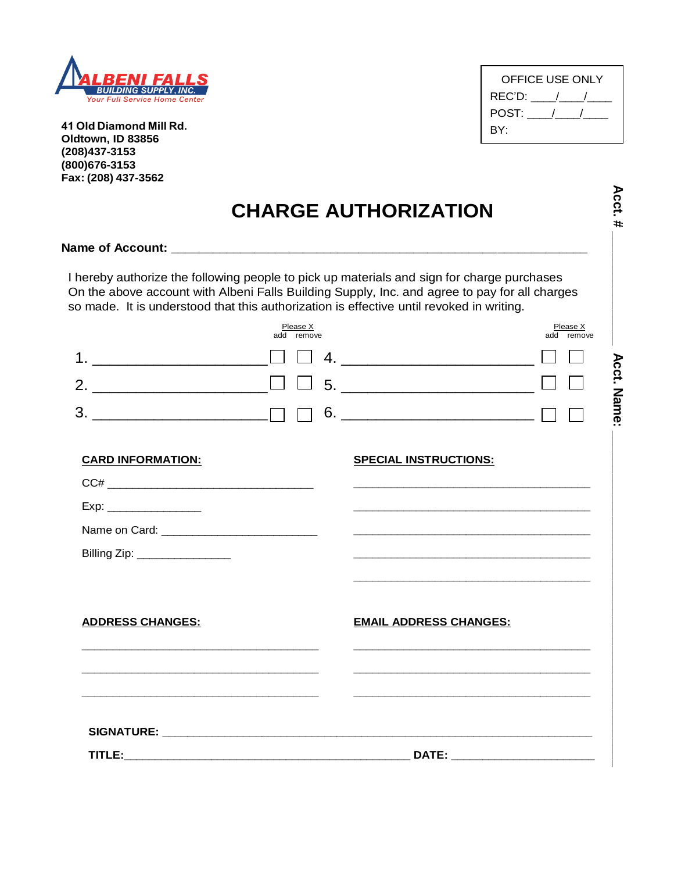

**41 Old Diamond Mill Rd. Oldtown, ID 83856 (208)437-3153 (800)676-3153 Fax: (208) 437-3562**

| OFFICE USE ONLY |  |
|-----------------|--|
| REC'D: /        |  |
| POST:           |  |
| BY:             |  |

|                               |                        | I hereby authorize the following people to pick up materials and sign for charge purchases<br>On the above account with Albeni Falls Building Supply, Inc. and agree to pay for all charges<br>so made. It is understood that this authorization is effective until revoked in writing. |  |
|-------------------------------|------------------------|-----------------------------------------------------------------------------------------------------------------------------------------------------------------------------------------------------------------------------------------------------------------------------------------|--|
|                               | Please X<br>add remove | Please X<br>add remove                                                                                                                                                                                                                                                                  |  |
|                               |                        |                                                                                                                                                                                                                                                                                         |  |
|                               | $\Box$                 |                                                                                                                                                                                                                                                                                         |  |
| 3.                            |                        | $6.$ $\qquad \qquad \Box$                                                                                                                                                                                                                                                               |  |
|                               |                        |                                                                                                                                                                                                                                                                                         |  |
| <b>CARD INFORMATION:</b>      |                        | <b>SPECIAL INSTRUCTIONS:</b>                                                                                                                                                                                                                                                            |  |
|                               |                        |                                                                                                                                                                                                                                                                                         |  |
| Exp: __________________       |                        |                                                                                                                                                                                                                                                                                         |  |
|                               |                        |                                                                                                                                                                                                                                                                                         |  |
| Billing Zip: ________________ |                        |                                                                                                                                                                                                                                                                                         |  |
|                               |                        |                                                                                                                                                                                                                                                                                         |  |
| <b>ADDRESS CHANGES:</b>       |                        | <b>EMAIL ADDRESS CHANGES:</b>                                                                                                                                                                                                                                                           |  |
|                               |                        |                                                                                                                                                                                                                                                                                         |  |
|                               |                        |                                                                                                                                                                                                                                                                                         |  |
|                               |                        |                                                                                                                                                                                                                                                                                         |  |
|                               |                        |                                                                                                                                                                                                                                                                                         |  |
|                               |                        | DATE: ________________________                                                                                                                                                                                                                                                          |  |